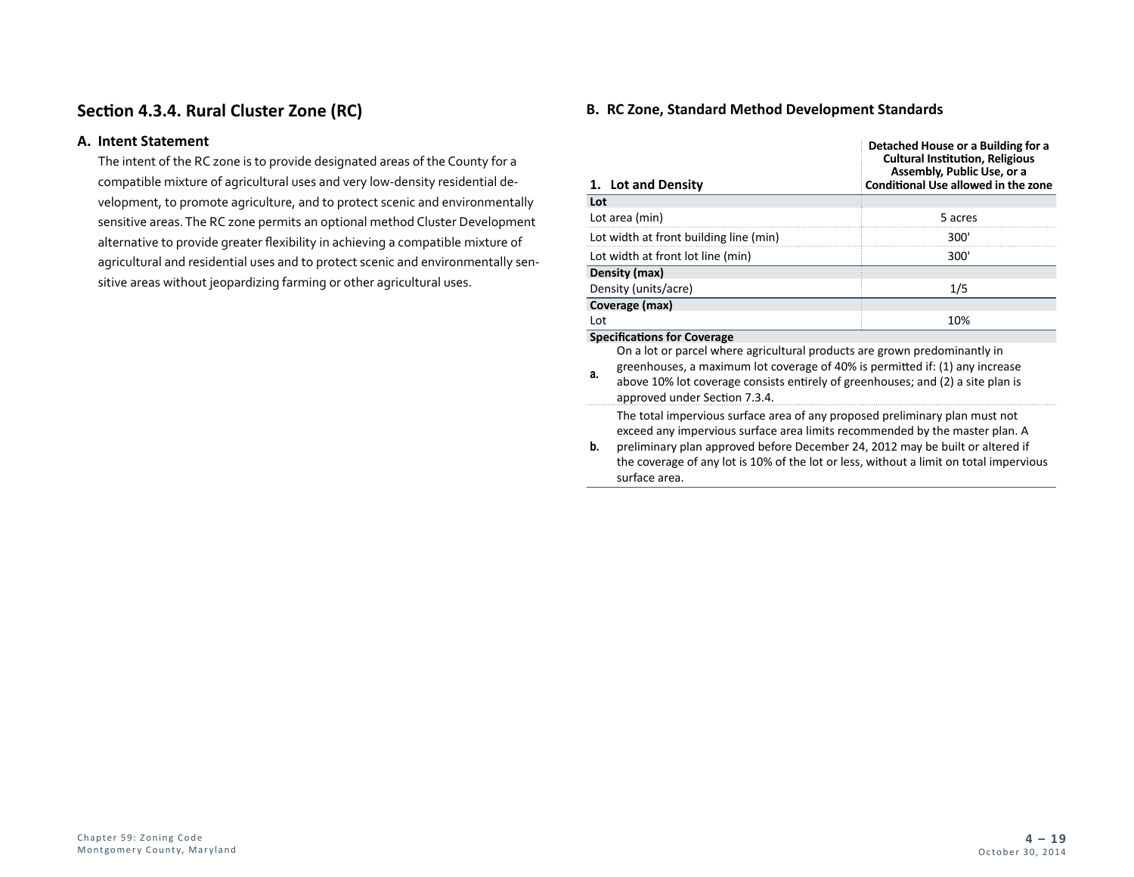# **Section 4.3.4. Rural Cluster Zone (RC)**

### **A. Intent Statement**

The intent of the RC zone is to provide designated areas of the County for a compatible mixture of agricultural uses and very low-density residential development, to promote agriculture, and to protect scenic and environmentally sensitive areas. The RC zone permits an optional method Cluster Development alternative to provide greater flexibility in achieving a compatible mixture of agricultural and residential uses and to protect scenic and environmentally sensitive areas without jeopardizing farming or other agricultural uses.

## **B. RC Zone, Standard Method Development Standards**

|                                    | 1. Lot and Density                                                                                                                                                                                                                                                                                                                                     | Detached House or a Building for a<br><b>Cultural Institution, Religious</b><br>Assembly, Public Use, or a<br><b>Conditional Use allowed in the zone</b> |  |  |
|------------------------------------|--------------------------------------------------------------------------------------------------------------------------------------------------------------------------------------------------------------------------------------------------------------------------------------------------------------------------------------------------------|----------------------------------------------------------------------------------------------------------------------------------------------------------|--|--|
| Lot                                |                                                                                                                                                                                                                                                                                                                                                        |                                                                                                                                                          |  |  |
|                                    | Lot area (min)                                                                                                                                                                                                                                                                                                                                         | 5 acres                                                                                                                                                  |  |  |
|                                    | Lot width at front building line (min)                                                                                                                                                                                                                                                                                                                 | 300'                                                                                                                                                     |  |  |
|                                    | Lot width at front lot line (min)                                                                                                                                                                                                                                                                                                                      | 300'                                                                                                                                                     |  |  |
| Density (max)                      |                                                                                                                                                                                                                                                                                                                                                        |                                                                                                                                                          |  |  |
| Density (units/acre)               |                                                                                                                                                                                                                                                                                                                                                        | 1/5                                                                                                                                                      |  |  |
| Coverage (max)                     |                                                                                                                                                                                                                                                                                                                                                        |                                                                                                                                                          |  |  |
| Lot                                |                                                                                                                                                                                                                                                                                                                                                        | 10%                                                                                                                                                      |  |  |
| <b>Specifications for Coverage</b> |                                                                                                                                                                                                                                                                                                                                                        |                                                                                                                                                          |  |  |
| a.                                 | On a lot or parcel where agricultural products are grown predominantly in<br>greenhouses, a maximum lot coverage of 40% is permitted if: (1) any increase<br>above 10% lot coverage consists entirely of greenhouses; and (2) a site plan is<br>approved under Section 7.3.4.                                                                          |                                                                                                                                                          |  |  |
| b.                                 | The total impervious surface area of any proposed preliminary plan must not<br>exceed any impervious surface area limits recommended by the master plan. A<br>preliminary plan approved before December 24, 2012 may be built or altered if<br>the coverage of any lot is 10% of the lot or less, without a limit on total impervious<br>surface area. |                                                                                                                                                          |  |  |